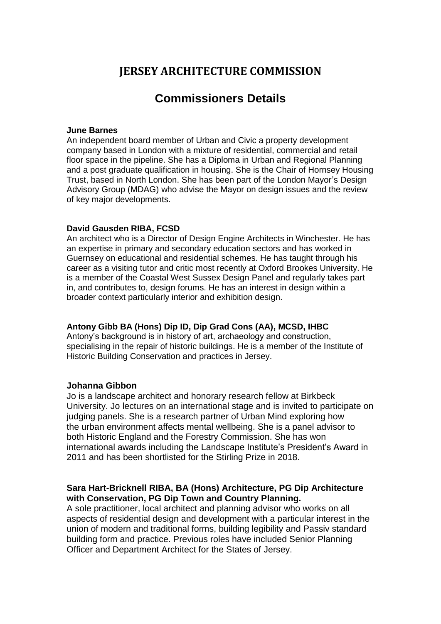# **JERSEY ARCHITECTURE COMMISSION**

# **Commissioners Details**

#### **June Barnes**

An independent board member of Urban and Civic a property development company based in London with a mixture of residential, commercial and retail floor space in the pipeline. She has a Diploma in Urban and Regional Planning and a post graduate qualification in housing. She is the Chair of Hornsey Housing Trust, based in North London. She has been part of the London Mayor's Design Advisory Group (MDAG) who advise the Mayor on design issues and the review of key major developments.

#### **David Gausden RIBA, FCSD**

An architect who is a Director of Design Engine Architects in Winchester. He has an expertise in primary and secondary education sectors and has worked in Guernsey on educational and residential schemes. He has taught through his career as a visiting tutor and critic most recently at Oxford Brookes University. He is a member of the Coastal West Sussex Design Panel and regularly takes part in, and contributes to, design forums. He has an interest in design within a broader context particularly interior and exhibition design.

#### **Antony Gibb BA (Hons) Dip ID, Dip Grad Cons (AA), MCSD, IHBC**

Antony's background is in history of art, archaeology and construction, specialising in the repair of historic buildings. He is a member of the Institute of Historic Building Conservation and practices in Jersey.

#### **Johanna Gibbon**

Jo is a landscape architect and honorary research fellow at Birkbeck University. Jo lectures on an international stage and is invited to participate on judging panels. She is a research partner of Urban Mind exploring how the urban environment affects mental wellbeing. She is a panel advisor to both Historic England and the Forestry Commission. She has won international awards including the Landscape Institute's President's Award in 2011 and has been shortlisted for the Stirling Prize in 2018.

# **Sara Hart-Bricknell RIBA, BA (Hons) Architecture, PG Dip Architecture with Conservation, PG Dip Town and Country Planning.**

A sole practitioner, local architect and planning advisor who works on all aspects of residential design and development with a particular interest in the union of modern and traditional forms, building legibility and Passiv standard building form and practice. Previous roles have included Senior Planning Officer and Department Architect for the States of Jersey.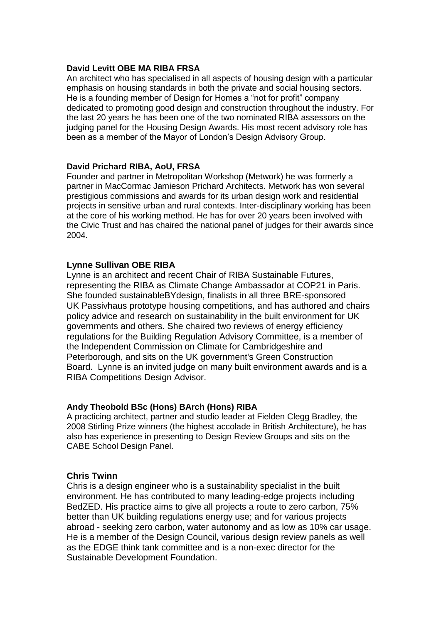#### **David Levitt OBE MA RIBA FRSA**

An architect who has specialised in all aspects of housing design with a particular emphasis on housing standards in both the private and social housing sectors. He is a founding member of Design for Homes a "not for profit" company dedicated to promoting good design and construction throughout the industry. For the last 20 years he has been one of the two nominated RIBA assessors on the judging panel for the Housing Design Awards. His most recent advisory role has been as a member of the Mayor of London's Design Advisory Group.

#### **David Prichard RIBA, AoU, FRSA**

Founder and partner in Metropolitan Workshop (Metwork) he was formerly a partner in MacCormac Jamieson Prichard Architects. Metwork has won several prestigious commissions and awards for its urban design work and residential projects in sensitive urban and rural contexts. Inter-disciplinary working has been at the core of his working method. He has for over 20 years been involved with the Civic Trust and has chaired the national panel of judges for their awards since 2004.

## **Lynne Sullivan OBE RIBA**

Lynne is an architect and recent Chair of RIBA Sustainable Futures, representing the RIBA as Climate Change Ambassador at COP21 in Paris. She founded sustainableBYdesign, finalists in all three BRE-sponsored UK Passivhaus prototype housing competitions, and has authored and chairs policy advice and research on sustainability in the built environment for UK governments and others. She chaired two reviews of energy efficiency regulations for the Building Regulation Advisory Committee, is a member of the Independent Commission on Climate for Cambridgeshire and Peterborough, and sits on the UK government's Green Construction Board. Lynne is an invited judge on many built environment awards and is a RIBA Competitions Design Advisor.

#### **Andy Theobold BSc (Hons) BArch (Hons) RIBA**

A practicing architect, partner and studio leader at Fielden Clegg Bradley, the 2008 Stirling Prize winners (the highest accolade in British Architecture), he has also has experience in presenting to Design Review Groups and sits on the CABE School Design Panel.

#### **Chris Twinn**

Chris is a design engineer who is a sustainability specialist in the built environment. He has contributed to many leading-edge projects including BedZED. His practice aims to give all projects a route to zero carbon, 75% better than UK building regulations energy use; and for various projects abroad - seeking zero carbon, water autonomy and as low as 10% car usage. He is a member of the Design Council, various design review panels as well as the EDGE think tank committee and is a non-exec director for the Sustainable Development Foundation.